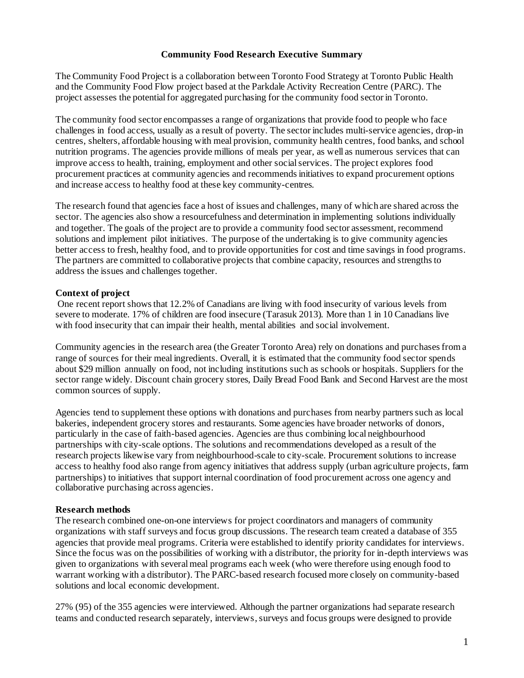#### **Community Food Research Executive Summary**

The Community Food Project is a collaboration between Toronto Food Strategy at Toronto Public Health and the Community Food Flow project based at the Parkdale Activity Recreation Centre (PARC). The project assesses the potential for aggregated purchasing for the community food sector in Toronto.

The community food sector encompasses a range of organizations that provide food to people who face challenges in food access, usually as a result of poverty. The sector includes multi-service agencies, drop-in centres, shelters, affordable housing with meal provision, community health centres, food banks, and school nutrition programs. The agencies provide millions of meals per year, as well as numerous services that can improve access to health, training, employment and other social services. The project explores food procurement practices at community agencies and recommendsinitiatives to expand procurement options and increase access to healthy food at these key community-centres.

The research found that agencies face a host of issues and challenges, many of which are shared across the sector. The agencies also show a resourcefulness and determination in implementing solutions individually and together. The goals of the project are to provide a community food sector assessment, recommend solutions and implement pilot initiatives. The purpose of the undertaking is to give community agencies better access to fresh, healthy food, and to provide opportunities for cost and time savings in food programs. The partners are committed to collaborative projects that combine capacity, resources and strengths to address the issues and challenges together.

### **Context of project**

One recent report shows that 12.2% of Canadians are living with food insecurity of various levels from severe to moderate. 17% of children are food insecure (Tarasuk 2013). More than 1 in 10 Canadians live with food insecurity that can impair their health, mental abilities and social involvement.

Community agencies in the research area (the Greater Toronto Area) rely on donations and purchases from a range of sources for their meal ingredients. Overall, it is estimated that the community food sector spends about \$29 million annually on food, not including institutions such as schools or hospitals. Suppliers for the sector range widely. Discount chain grocery stores, Daily Bread Food Bank and Second Harvest are the most common sources of supply.

Agencies tend to supplement these options with donations and purchases from nearby partners such as local bakeries, independent grocery stores and restaurants. Some agencies have broader networks of donors, particularly in the case of faith-based agencies. Agencies are thus combining local neighbourhood partnerships with city-scale options. The solutions and recommendations developed as a result of the research projects likewise vary from neighbourhood-scale to city-scale. Procurement solutions to increase access to healthy food also range from agency initiatives that address supply (urban agriculture projects, farm partnerships) to initiatives that support internal coordination of food procurement across one agency and collaborative purchasing across agencies.

### **Research methods**

The research combined one-on-one interviews for project coordinators and managers of community organizations with staff surveys and focus group discussions. The research team created a database of 355 agencies that provide meal programs. Criteria were established to identify priority candidates for interviews. Since the focus was on the possibilities of working with a distributor, the priority for in-depth interviews was given to organizations with several meal programs each week (who were therefore using enough food to warrant working with a distributor). The PARC-based research focused more closely on community-based solutions and local economic development.

27% (95) of the 355 agencies were interviewed. Although the partner organizations had separate research teams and conducted research separately, interviews, surveys and focus groups were designed to provide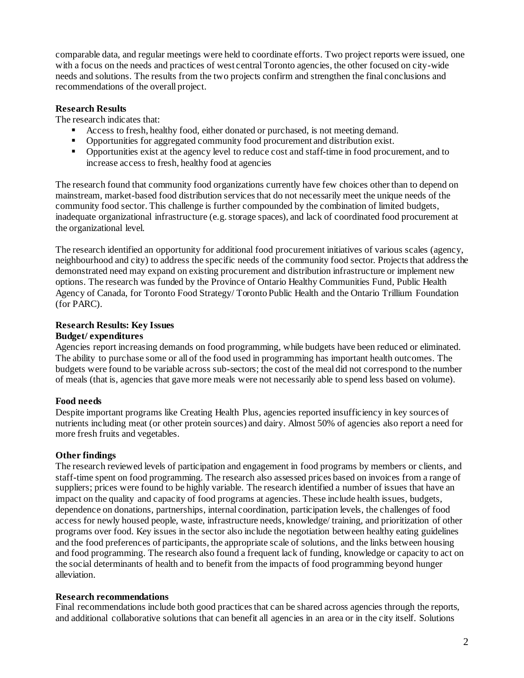comparable data, and regular meetings were held to coordinate efforts. Two project reports were issued, one with a focus on the needs and practices of west central Toronto agencies, the other focused on city-wide needs and solutions. The results from the two projects confirm and strengthen the final conclusions and recommendations of the overall project.

### **Research Results**

The research indicates that:

- Access to fresh, healthy food, either donated or purchased, is not meeting demand.
- Opportunities for aggregated community food procurement and distribution exist.
- Opportunities exist at the agency level to reduce cost and staff-time in food procurement, and to increase access to fresh, healthy food at agencies

The research found that community food organizations currently have few choices other than to depend on mainstream, market-based food distribution services that do not necessarily meet the unique needs of the community food sector. This challenge is further compounded by the combination of limited budgets, inadequate organizational infrastructure (e.g. storage spaces), and lack of coordinated food procurement at the organizational level.

The research identified an opportunity for additional food procurement initiatives of various scales (agency, neighbourhood and city) to address the specific needs of the community food sector. Projects that address the demonstrated need may expand on existing procurement and distribution infrastructure or implement new options. The research was funded by the Province of Ontario Healthy Communities Fund, Public Health Agency of Canada, for Toronto Food Strategy/ Toronto Public Health and the Ontario Trillium Foundation (for PARC).

# **Research Results: Key Issues**

### **Budget/ expenditures**

Agencies report increasing demands on food programming, while budgets have been reduced or eliminated. The ability to purchase some or all of the food used in programming has important health outcomes. The budgets were found to be variable across sub-sectors; the cost of the meal did not correspond to the number of meals (that is, agencies that gave more meals were not necessarily able to spend less based on volume).

# **Food needs**

Despite important programs like Creating Health Plus, agencies reported insufficiency in key sources of nutrients including meat (or other protein sources) and dairy. Almost 50% of agencies also report a need for more fresh fruits and vegetables.

#### **Other findings**

The research reviewed levels of participation and engagement in food programs by members or clients, and staff-time spent on food programming. The research also assessed prices based on invoices from a range of suppliers; prices were found to be highly variable. The research identified a number of issues that have an impact on the quality and capacity of food programs at agencies. These include health issues, budgets, dependence on donations, partnerships, internal coordination, participation levels, the challenges of food access for newly housed people, waste, infrastructure needs, knowledge/ training, and prioritization of other programs over food. Key issues in the sector also include the negotiation between healthy eating guidelines and the food preferences of participants, the appropriate scale of solutions, and the links between housing and food programming. The research also found a frequent lack of funding, knowledge or capacity to act on the social determinants of health and to benefit from the impacts of food programming beyond hunger alleviation.

#### **Research recommendations**

Final recommendations include both good practices that can be shared across agencies through the reports, and additional collaborative solutions that can benefit all agencies in an area or in the city itself. Solutions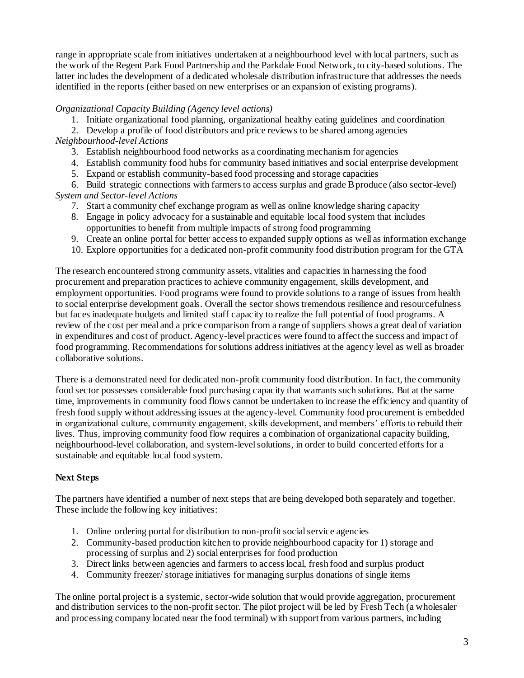range in appropriate scale from initiatives undertaken at a neighbourhood level with local partners, such as the work of the Regent Park Food Partnership and the Parkdale Food Network, to city-based solutions. The latter includes the development of a dedicated wholesale distribution infrastructure that addresses the needs identified in the reports (either based on new enterprises or an expansion of existing programs).

# *Organizational Capacity Building (Agency level actions)*

1. Initiate organizational food planning, organizational healthy eating guidelines and coordination

2. Develop a profile of food distributors and price reviews to be shared among agencies *Neighbourhood-level Actions*

- 3. Establish neighbourhood food networks as a coordinating mechanism for agencies
- 4. Establish community food hubs for community based initiatives and social enterprise development
- 5. Expand or establish community-based food processing and storage capacities

6. Build strategic connections with farmers to access surplus and grade B produce (also sector-level) *System and Sector-level Actions* 

- 7. Start a community chef exchange program as well as online knowledge sharing capacity
- 8. Engage in policy advocacy for a sustainable and equitable local food system that includes opportunities to benefit from multiple impacts of strong food programming
- 9. Create an online portal for better access to expanded supply options as well as information exchange
- 10. Explore opportunities for a dedicated non-profit community food distribution program for the GTA

The research encountered strong community assets, vitalities and capacities in harnessing the food procurement and preparation practicesto achieve community engagement, skills development, and employment opportunities. Food programs were found to provide solutions to a range of issues from health to social enterprise development goals. Overall the sector shows tremendous resilience and resourcefulness but faces inadequate budgets and limited staff capacity to realize the full potential of food programs. A review of the cost per meal and a price comparison from a range of suppliers shows a great deal of variation in expenditures and cost of product. Agency-level practices were found to affect the success and impact of food programming. Recommendations for solutions address initiatives at the agency level as well as broader collaborative solutions.

There is a demonstrated need for dedicated non-profit community food distribution. In fact, the community food sector possesses considerable food purchasing capacity that warrants such solutions. But at the same time, improvements in community food flows cannot be undertaken to increase the efficiency and quantity of fresh food supply without addressing issues at the agency-level. Community food procurement is embedded in organizational culture, community engagement, skills development, and members' efforts to rebuild their lives. Thus, improving community food flow requires a combination of organizational capacity building, neighbourhood-level collaboration, and system-level solutions, in order to build concerted efforts for a sustainable and equitable local food system.

# **Next Steps**

The partners have identified a number of next steps that are being developed both separately and together. These include the following key initiatives:

- 1. Online ordering portal for distribution to non-profit social service agencies
- 2. Community-based production kitchen to provide neighbourhood capacity for 1) storage and processing of surplus and 2) social enterprises for food production
- 3. Direct links between agencies and farmers to access local, fresh food and surplus product
- 4. Community freezer/ storage initiatives for managing surplus donations of single items

The online portal project is a systemic, sector-wide solution that would provide aggregation, procurement and distribution services to the non-profit sector. The pilot project will be led by Fresh Tech (a wholesaler and processing company located near the food terminal) with support from various partners, including